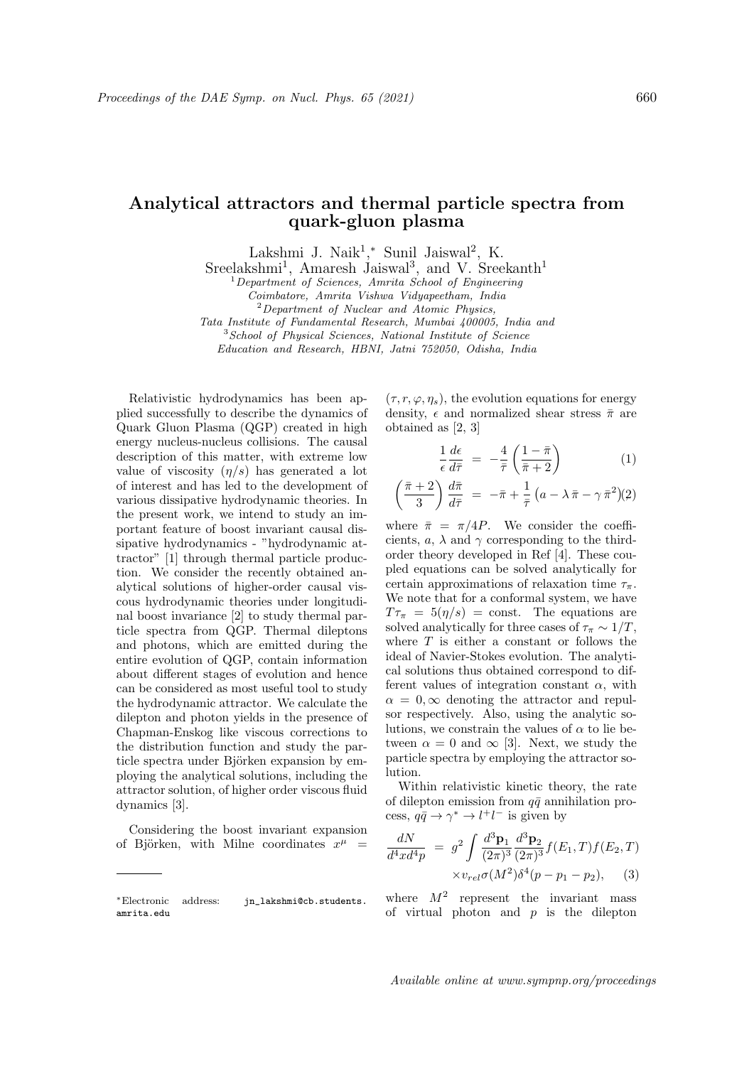## Analytical attractors and thermal particle spectra from quark-gluon plasma

Lakshmi J. Naik<sup>1</sup>,\* Sunil Jaiswal<sup>2</sup>, K.

Sreelakshmi<sup>1</sup>, Amaresh Jaiswal<sup>3</sup>, and V. Sreekanth<sup>1</sup>

<sup>1</sup>Department of Sciences, Amrita School of Engineering

Coimbatore, Amrita Vishwa Vidyapeetham, India

 $2$  Department of Nuclear and Atomic Physics,

Tata Institute of Fundamental Research, Mumbai 400005, India and

<sup>3</sup>School of Physical Sciences, National Institute of Science Education and Research, HBNI, Jatni 752050, Odisha, India

Relativistic hydrodynamics has been applied successfully to describe the dynamics of Quark Gluon Plasma (QGP) created in high energy nucleus-nucleus collisions. The causal description of this matter, with extreme low value of viscosity  $(\eta/s)$  has generated a lot of interest and has led to the development of various dissipative hydrodynamic theories. In the present work, we intend to study an important feature of boost invariant causal dissipative hydrodynamics - "hydrodynamic attractor" [1] through thermal particle production. We consider the recently obtained analytical solutions of higher-order causal viscous hydrodynamic theories under longitudinal boost invariance [2] to study thermal particle spectra from QGP. Thermal dileptons and photons, which are emitted during the entire evolution of QGP, contain information about different stages of evolution and hence can be considered as most useful tool to study the hydrodynamic attractor. We calculate the dilepton and photon yields in the presence of Chapman-Enskog like viscous corrections to the distribution function and study the particle spectra under Björken expansion by employing the analytical solutions, including the attractor solution, of higher order viscous fluid dynamics [3].

Considering the boost invariant expansion of Björken, with Milne coordinates  $x^{\mu}$  =

 $(\tau, r, \varphi, \eta_s)$ , the evolution equations for energy density,  $\epsilon$  and normalized shear stress  $\bar{\pi}$  are obtained as [2, 3]

$$
\frac{1}{\epsilon} \frac{d\epsilon}{d\bar{\tau}} = -\frac{4}{\bar{\tau}} \left( \frac{1 - \bar{\pi}}{\bar{\pi} + 2} \right) \tag{1}
$$

$$
\left(\frac{\bar{\pi}+2}{3}\right)\frac{d\bar{\pi}}{d\bar{\tau}} = -\bar{\pi} + \frac{1}{\bar{\tau}}\left(a - \lambda \,\bar{\pi} - \gamma \,\bar{\pi}^2\right)(2)
$$

where  $\bar{\pi} = \pi/4P$ . We consider the coefficients, a,  $\lambda$  and  $\gamma$  corresponding to the thirdorder theory developed in Ref [4]. These coupled equations can be solved analytically for certain approximations of relaxation time  $\tau_{\pi}$ . We note that for a conformal system, we have  $T\tau_{\pi} = 5(\eta/s) = \text{const.}$  The equations are solved analytically for three cases of  $\tau_{\pi} \sim 1/T$ , where  $T$  is either a constant or follows the ideal of Navier-Stokes evolution. The analytical solutions thus obtained correspond to different values of integration constant  $\alpha$ , with  $\alpha = 0$ ,  $\infty$  denoting the attractor and repulsor respectively. Also, using the analytic solutions, we constrain the values of  $\alpha$  to lie between  $\alpha = 0$  and  $\infty$  [3]. Next, we study the particle spectra by employing the attractor solution.

Within relativistic kinetic theory, the rate of dilepton emission from  $q\bar{q}$  annihilation process,  $q\bar{q} \to \gamma^* \to l^+l^-$  is given by

$$
\frac{dN}{d^4x d^4p} = g^2 \int \frac{d^3 \mathbf{p}_1}{(2\pi)^3} \frac{d^3 \mathbf{p}_2}{(2\pi)^3} f(E_1, T) f(E_2, T)
$$

$$
\times v_{rel} \sigma(M^2) \delta^4(p - p_1 - p_2), \quad (3)
$$

where  $M^2$  represent the invariant mass of virtual photon and  $p$  is the dilepton

<sup>∗</sup>Electronic address: jn\_lakshmi@cb.students. amrita.edu